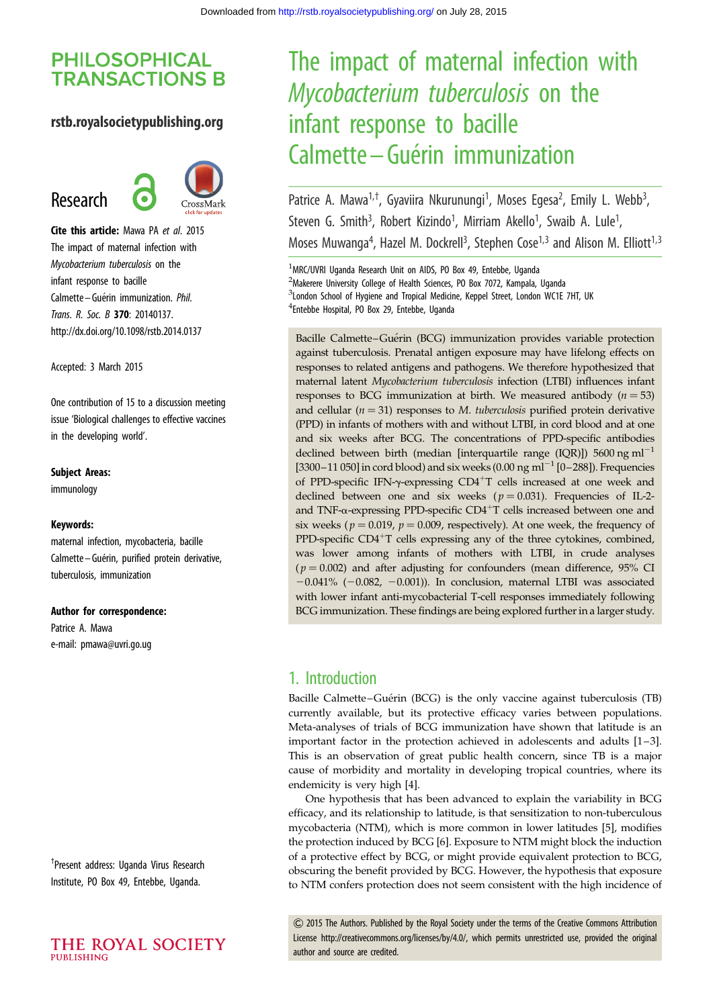# **PHILOSOPHICAL TRANSACTIONS B**

## rstb.royalsocietypublishing.org

# Research



Cite this article: Mawa PA et al. 2015 The impact of maternal infection with Mycobacterium tuberculosis on the infant response to bacille Calmette – Guérin immunization. Phil. Trans. R. Soc. B 370: 20140137. http://dx.doi.org/10.1098/rstb.2014.0137

Accepted: 3 March 2015

One contribution of 15 to a discussion meeting issue 'Biological challenges to effective vaccines in the developing world'.

#### Subject Areas:

immunology

#### Keywords:

maternal infection, mycobacteria, bacille Calmette-Guérin, purified protein derivative, tuberculosis, immunization

#### Author for correspondence:

Patrice A. Mawa e-mail: [pmawa@uvri.go.ug](mailto:pmawa@uvri.go.ug)

† Present address: Uganda Virus Research Institute, PO Box 49, Entebbe, Uganda.



# The impact of maternal infection with Mycobacterium tuberculosis on the infant response to bacille Calmette – Guérin immunization

Patrice A. Mawa<sup>1,†</sup>, Gyaviira Nkurunungi<sup>1</sup>, Moses Egesa<sup>2</sup>, Emily L. Webb<sup>3</sup> , Steven G. Smith<sup>3</sup>, Robert Kizindo<sup>1</sup>, Mirriam Akello<sup>1</sup>, Swaib A. Lule<sup>1</sup> , Moses Muwanga<sup>4</sup>, Hazel M. Dockrell<sup>3</sup>, Stephen Cose<sup>1,3</sup> and Alison M. Elliott<sup>1,3</sup>

<sup>1</sup>MRC/UVRI Uganda Research Unit on AIDS, PO Box 49, Entebbe, Uganda <sup>2</sup>Makerere University College of Health Sciences, PO Box 7072, Kampala, Uganda <sup>3</sup>London School of Hygiene and Tropical Medicine, Keppel Street, London WC1E 7HT, UK 4 Entebbe Hospital, PO Box 29, Entebbe, Uganda

Bacille Calmette–Guérin (BCG) immunization provides variable protection against tuberculosis. Prenatal antigen exposure may have lifelong effects on responses to related antigens and pathogens. We therefore hypothesized that maternal latent Mycobacterium tuberculosis infection (LTBI) influences infant responses to BCG immunization at birth. We measured antibody  $(n = 53)$ and cellular ( $n = 31$ ) responses to M. tuberculosis purified protein derivative (PPD) in infants of mothers with and without LTBI, in cord blood and at one and six weeks after BCG. The concentrations of PPD-specific antibodies declined between birth (median [interquartile range (IOR)]) 5600 ng ml<sup> $-1$ </sup> [3300–11 050] in cord blood) and six weeks  $(0.00 \text{ ng } \text{ml}^{-1}$  [0–288]). Frequencies of PPD-specific IFN- $\gamma$ -expressing CD4<sup>+</sup>T cells increased at one week and declined between one and six weeks ( $p = 0.031$ ). Frequencies of IL-2and TNF- $\alpha$ -expressing PPD-specific CD4<sup>+</sup>T cells increased between one and six weeks ( $p = 0.019$ ,  $p = 0.009$ , respectively). At one week, the frequency of PPD-specific  $CD4+T$  cells expressing any of the three cytokines, combined, was lower among infants of mothers with LTBI, in crude analyses  $(p = 0.002)$  and after adjusting for confounders (mean difference, 95% CI  $-0.041\%$  ( $-0.082$ ,  $-0.001$ )). In conclusion, maternal LTBI was associated with lower infant anti-mycobacterial T-cell responses immediately following BCG immunization. These findings are being explored further in a larger study.

# 1. Introduction

Bacille Calmette-Guérin (BCG) is the only vaccine against tuberculosis (TB) currently available, but its protective efficacy varies between populations. Meta-analyses of trials of BCG immunization have shown that latitude is an important factor in the protection achieved in adolescents and adults [\[1](#page-7-0)–[3\]](#page-7-0). This is an observation of great public health concern, since TB is a major cause of morbidity and mortality in developing tropical countries, where its endemicity is very high [\[4\]](#page-7-0).

One hypothesis that has been advanced to explain the variability in BCG efficacy, and its relationship to latitude, is that sensitization to non-tuberculous mycobacteria (NTM), which is more common in lower latitudes [[5](#page-7-0)], modifies the protection induced by BCG [\[6\]](#page-7-0). Exposure to NTM might block the induction of a protective effect by BCG, or might provide equivalent protection to BCG, obscuring the benefit provided by BCG. However, the hypothesis that exposure to NTM confers protection does not seem consistent with the high incidence of

& 2015 The Authors. Published by the Royal Society under the terms of the Creative Commons Attribution License http://creativecommons.org/licenses/by/4.0/, which permits unrestricted use, provided the original author and source are credited.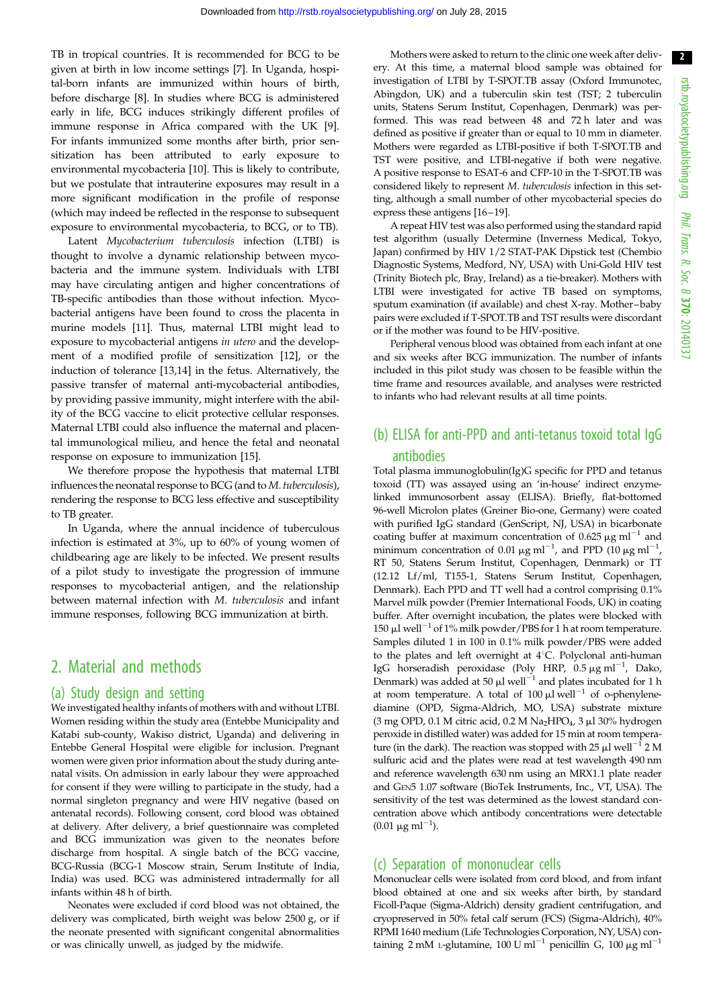TB in tropical countries. It is recommended for BCG to be given at birth in low income settings [[7](#page-7-0)]. In Uganda, hospital-born infants are immunized within hours of birth, before discharge [\[8\]](#page-7-0). In studies where BCG is administered early in life, BCG induces strikingly different profiles of immune response in Africa compared with the UK [[9](#page-7-0)]. For infants immunized some months after birth, prior sensitization has been attributed to early exposure to environmental mycobacteria [[10\]](#page-7-0). This is likely to contribute, but we postulate that intrauterine exposures may result in a more significant modification in the profile of response (which may indeed be reflected in the response to subsequent exposure to environmental mycobacteria, to BCG, or to TB).

Latent Mycobacterium tuberculosis infection (LTBI) is thought to involve a dynamic relationship between mycobacteria and the immune system. Individuals with LTBI may have circulating antigen and higher concentrations of TB-specific antibodies than those without infection. Mycobacterial antigens have been found to cross the placenta in murine models [\[11](#page-7-0)]. Thus, maternal LTBI might lead to exposure to mycobacterial antigens in utero and the development of a modified profile of sensitization [\[12](#page-7-0)], or the induction of tolerance [[13,14\]](#page-7-0) in the fetus. Alternatively, the passive transfer of maternal anti-mycobacterial antibodies, by providing passive immunity, might interfere with the ability of the BCG vaccine to elicit protective cellular responses. Maternal LTBI could also influence the maternal and placental immunological milieu, and hence the fetal and neonatal response on exposure to immunization [[15\]](#page-7-0).

We therefore propose the hypothesis that maternal LTBI influences the neonatal response to BCG (and to M. tuberculosis), rendering the response to BCG less effective and susceptibility to TB greater.

In Uganda, where the annual incidence of tuberculous infection is estimated at 3%, up to 60% of young women of childbearing age are likely to be infected. We present results of a pilot study to investigate the progression of immune responses to mycobacterial antigen, and the relationship between maternal infection with M. tuberculosis and infant immune responses, following BCG immunization at birth.

## 2. Material and methods

#### (a) Study design and setting

We investigated healthy infants of mothers with and without LTBI. Women residing within the study area (Entebbe Municipality and Katabi sub-county, Wakiso district, Uganda) and delivering in Entebbe General Hospital were eligible for inclusion. Pregnant women were given prior information about the study during antenatal visits. On admission in early labour they were approached for consent if they were willing to participate in the study, had a normal singleton pregnancy and were HIV negative (based on antenatal records). Following consent, cord blood was obtained at delivery. After delivery, a brief questionnaire was completed and BCG immunization was given to the neonates before discharge from hospital. A single batch of the BCG vaccine, BCG-Russia (BCG-1 Moscow strain, Serum Institute of India, India) was used. BCG was administered intradermally for all infants within 48 h of birth.

Neonates were excluded if cord blood was not obtained, the delivery was complicated, birth weight was below 2500 g, or if the neonate presented with significant congenital abnormalities or was clinically unwell, as judged by the midwife.

Mothers were asked to return to the clinic one week after delivery. At this time, a maternal blood sample was obtained for investigation of LTBI by T-SPOT.TB assay (Oxford Immunotec, Abingdon, UK) and a tuberculin skin test (TST; 2 tuberculin units, Statens Serum Institut, Copenhagen, Denmark) was performed. This was read between 48 and 72 h later and was defined as positive if greater than or equal to 10 mm in diameter. Mothers were regarded as LTBI-positive if both T-SPOT.TB and TST were positive, and LTBI-negative if both were negative. A positive response to ESAT-6 and CFP-10 in the T-SPOT.TB was considered likely to represent M. tuberculosis infection in this setting, although a small number of other mycobacterial species do express these antigens [\[16](#page-7-0)–[19](#page-7-0)].

A repeat HIV test was also performed using the standard rapid test algorithm (usually Determine (Inverness Medical, Tokyo, Japan) confirmed by HIV 1/2 STAT-PAK Dipstick test (Chembio Diagnostic Systems, Medford, NY, USA) with Uni-Gold HIV test (Trinity Biotech plc, Bray, Ireland) as a tie-breaker). Mothers with LTBI were investigated for active TB based on symptoms, sputum examination (if available) and chest X-ray. Mother–baby pairs were excluded if T-SPOT.TB and TST results were discordant or if the mother was found to be HIV-positive.

Peripheral venous blood was obtained from each infant at one and six weeks after BCG immunization. The number of infants included in this pilot study was chosen to be feasible within the time frame and resources available, and analyses were restricted to infants who had relevant results at all time points.

# (b) ELISA for anti-PPD and anti-tetanus toxoid total IgG antibodies

Total plasma immunoglobulin(Ig)G specific for PPD and tetanus toxoid (TT) was assayed using an 'in-house' indirect enzymelinked immunosorbent assay (ELISA). Briefly, flat-bottomed 96-well Microlon plates (Greiner Bio-one, Germany) were coated with purified IgG standard (GenScript, NJ, USA) in bicarbonate coating buffer at maximum concentration of 0.625  $\mu$ g ml<sup>-1</sup> and minimum concentration of 0.01  $\mu$ g ml<sup>-1</sup>, and PPD (10  $\mu$ g ml<sup>-1</sup>, RT 50, Statens Serum Institut, Copenhagen, Denmark) or TT (12.12 Lf/ml, T155-1, Statens Serum Institut, Copenhagen, Denmark). Each PPD and TT well had a control comprising 0.1% Marvel milk powder (Premier International Foods, UK) in coating buffer. After overnight incubation, the plates were blocked with 150  $\mu$ l well<sup>-1</sup> of 1% milk powder/PBS for 1 h at room temperature. Samples diluted 1 in 100 in 0.1% milk powder/PBS were added to the plates and left overnight at  $4^{\circ}$ C. Polyclonal anti-human IgG horseradish peroxidase (Poly HRP,  $0.5 \,\mu\text{g}\text{ ml}^{-1}$ , Dako, Denmark) was added at 50  $\mu$ l well<sup>-1</sup> and plates incubated for 1 h at room temperature. A total of 100  $\mu$ l well<sup>-1</sup> of o-phenylenediamine (OPD, Sigma-Aldrich, MO, USA) substrate mixture (3 mg OPD, 0.1 M citric acid, 0.2 M Na<sub>2</sub>HPO<sub>4</sub>, 3  $\mu$ l 30% hydrogen peroxide in distilled water) was added for 15 min at room temperature (in the dark). The reaction was stopped with  $25 \mu l$  well<sup>-1</sup> 2 M sulfuric acid and the plates were read at test wavelength 490 nm and reference wavelength 630 nm using an MRX1.1 plate reader and GEN5 1.07 software (BioTek Instruments, Inc., VT, USA). The sensitivity of the test was determined as the lowest standard concentration above which antibody concentrations were detectable  $(0.01 \ \mu g \ m l^{-1}).$ 

## (c) Separation of mononuclear cells

Mononuclear cells were isolated from cord blood, and from infant blood obtained at one and six weeks after birth, by standard Ficoll-Paque (Sigma-Aldrich) density gradient centrifugation, and cryopreserved in 50% fetal calf serum (FCS) (Sigma-Aldrich), 40% RPMI 1640 medium (Life Technologies Corporation, NY, USA) containing 2 mM L-glutamine, 100 U ml<sup>-1</sup> penicillin G, 100  $\mu$ g ml<sup>-1</sup>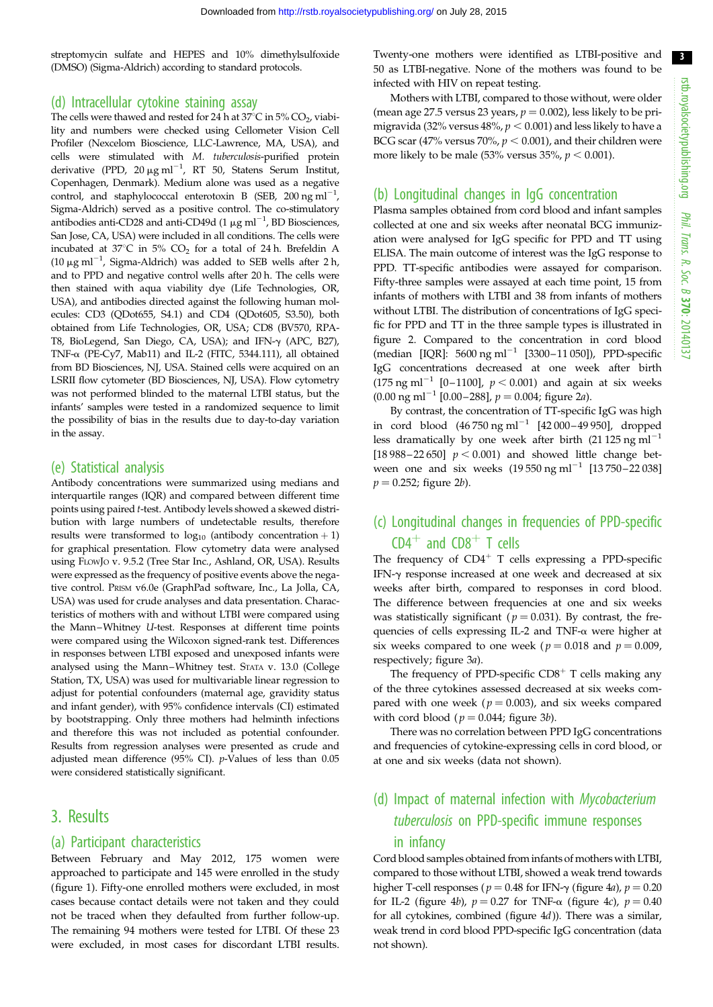3

streptomycin sulfate and HEPES and 10% dimethylsulfoxide (DMSO) (Sigma-Aldrich) according to standard protocols.

#### (d) Intracellular cytokine staining assay

The cells were thawed and rested for 24 h at  $37^{\circ}$ C in  $5\%$  CO<sub>2</sub>, viability and numbers were checked using Cellometer Vision Cell Profiler (Nexcelom Bioscience, LLC-Lawrence, MA, USA), and cells were stimulated with M. tuberculosis-purified protein derivative (PPD,  $20 \mu g$  ml<sup>-1</sup>, RT 50, Statens Serum Institut, Copenhagen, Denmark). Medium alone was used as a negative control, and staphylococcal enterotoxin B (SEB, 200 ng ml<sup>-1</sup>, Sigma-Aldrich) served as a positive control. The co-stimulatory antibodies anti-CD28 and anti-CD49d (1  $\mu$ g ml<sup>-1</sup>, BD Biosciences, San Jose, CA, USA) were included in all conditions. The cells were incubated at  $37^{\circ}$ C in 5% CO<sub>2</sub> for a total of 24 h. Brefeldin A (10  $\mu$ g ml<sup>-1</sup>, Sigma-Aldrich) was added to SEB wells after 2 h, and to PPD and negative control wells after 20 h. The cells were then stained with aqua viability dye (Life Technologies, OR, USA), and antibodies directed against the following human molecules: CD3 (QDot655, S4.1) and CD4 (QDot605, S3.50), both obtained from Life Technologies, OR, USA; CD8 (BV570, RPA-T8, BioLegend, San Diego, CA, USA); and IFN-g (APC, B27), TNF- $\alpha$  (PE-Cy7, Mab11) and IL-2 (FITC, 5344.111), all obtained from BD Biosciences, NJ, USA. Stained cells were acquired on an LSRII flow cytometer (BD Biosciences, NJ, USA). Flow cytometry was not performed blinded to the maternal LTBI status, but the infants' samples were tested in a randomized sequence to limit the possibility of bias in the results due to day-to-day variation in the assay.

#### (e) Statistical analysis

Antibody concentrations were summarized using medians and interquartile ranges (IQR) and compared between different time points using paired t-test. Antibody levels showed a skewed distribution with large numbers of undetectable results, therefore results were transformed to  $log_{10}$  (antibody concentration + 1) for graphical presentation. Flow cytometry data were analysed using FLOWJO v. 9.5.2 (Tree Star Inc., Ashland, OR, USA). Results were expressed as the frequency of positive events above the negative control. PRISM v6.0e (GraphPad software, Inc., La Jolla, CA, USA) was used for crude analyses and data presentation. Characteristics of mothers with and without LTBI were compared using the Mann–Whitney U-test. Responses at different time points were compared using the Wilcoxon signed-rank test. Differences in responses between LTBI exposed and unexposed infants were analysed using the Mann–Whitney test. STATA v. 13.0 (College Station, TX, USA) was used for multivariable linear regression to adjust for potential confounders (maternal age, gravidity status and infant gender), with 95% confidence intervals (CI) estimated by bootstrapping. Only three mothers had helminth infections and therefore this was not included as potential confounder. Results from regression analyses were presented as crude and adjusted mean difference (95% CI). p-Values of less than 0.05 were considered statistically significant.

## 3. Results

#### (a) Participant characteristics

Between February and May 2012, 175 women were approached to participate and 145 were enrolled in the study [\(figure 1](#page-3-0)). Fifty-one enrolled mothers were excluded, in most cases because contact details were not taken and they could not be traced when they defaulted from further follow-up. The remaining 94 mothers were tested for LTBI. Of these 23 were excluded, in most cases for discordant LTBI results.

Twenty-one mothers were identified as LTBI-positive and 50 as LTBI-negative. None of the mothers was found to be infected with HIV on repeat testing.

Mothers with LTBI, compared to those without, were older (mean age 27.5 versus 23 years,  $p = 0.002$ ), less likely to be primigravida (32% versus 48%,  $p < 0.001$ ) and less likely to have a BCG scar (47% versus 70%,  $p < 0.001$ ), and their children were more likely to be male  $(53\% \text{ versus } 35\%, p < 0.001)$ .

#### (b) Longitudinal changes in IgG concentration

Plasma samples obtained from cord blood and infant samples collected at one and six weeks after neonatal BCG immunization were analysed for IgG specific for PPD and TT using ELISA. The main outcome of interest was the IgG response to PPD. TT-specific antibodies were assayed for comparison. Fifty-three samples were assayed at each time point, 15 from infants of mothers with LTBI and 38 from infants of mothers without LTBI. The distribution of concentrations of IgG specific for PPD and TT in the three sample types is illustrated in [figure 2](#page-4-0). Compared to the concentration in cord blood (median [IQR]:  $5600 \text{ ng ml}^{-1}$  [3300-11 050]), PPD-specific IgG concentrations decreased at one week after birth (175 ng ml<sup>-1</sup> [0-1100],  $p < 0.001$ ) and again at six weeks (0.00 ng ml<sup>-1</sup> [0.00-288],  $p = 0.004$ ; [figure 2](#page-4-0)*a*).

By contrast, the concentration of TT-specific IgG was high in cord blood  $(46\,750 \text{ ng m}^{-1}$   $[42\,000-49\,950]$ , dropped less dramatically by one week after birth (21 125 ng ml<sup>-1</sup> [18 988–22 650]  $p < 0.001$ ) and showed little change between one and six weeks  $(19 550 \text{ ng ml}^{-1} [13 750 - 22 038]$  $p = 0.252$ ; [figure 2](#page-4-0)*b*).

# (c) Longitudinal changes in frequencies of PPD-specific  $CD4^+$  and  $CD8^+$  T cells

The frequency of  $CD4^+$  T cells expressing a PPD-specific IFN-g response increased at one week and decreased at six weeks after birth, compared to responses in cord blood. The difference between frequencies at one and six weeks was statistically significant ( $p = 0.031$ ). By contrast, the frequencies of cells expressing IL-2 and TNF-a were higher at six weeks compared to one week ( $p = 0.018$  and  $p = 0.009$ , respectively; [figure 3](#page-5-0)a).

The frequency of PPD-specific  $CD8<sup>+</sup>$  T cells making any of the three cytokines assessed decreased at six weeks compared with one week ( $p = 0.003$ ), and six weeks compared with cord blood ( $p = 0.044$ ; [figure 3](#page-5-0)b).

There was no correlation between PPD IgG concentrations and frequencies of cytokine-expressing cells in cord blood, or at one and six weeks (data not shown).

# (d) Impact of maternal infection with Mycobacterium tuberculosis on PPD-specific immune responses in infancy

Cord blood samples obtained from infants of mothers with LTBI, compared to those without LTBI, showed a weak trend towards higher T-cell responses ( $p = 0.48$  for IFN- $\gamma$  ([figure 4](#page-6-0)*a*),  $p = 0.20$ for IL-2 [\(figure 4](#page-6-0)b),  $p = 0.27$  for TNF- $\alpha$  (figure 4c),  $p = 0.40$ for all cytokines, combined [\(figure 4](#page-6-0)d)). There was a similar, weak trend in cord blood PPD-specific IgG concentration (data not shown).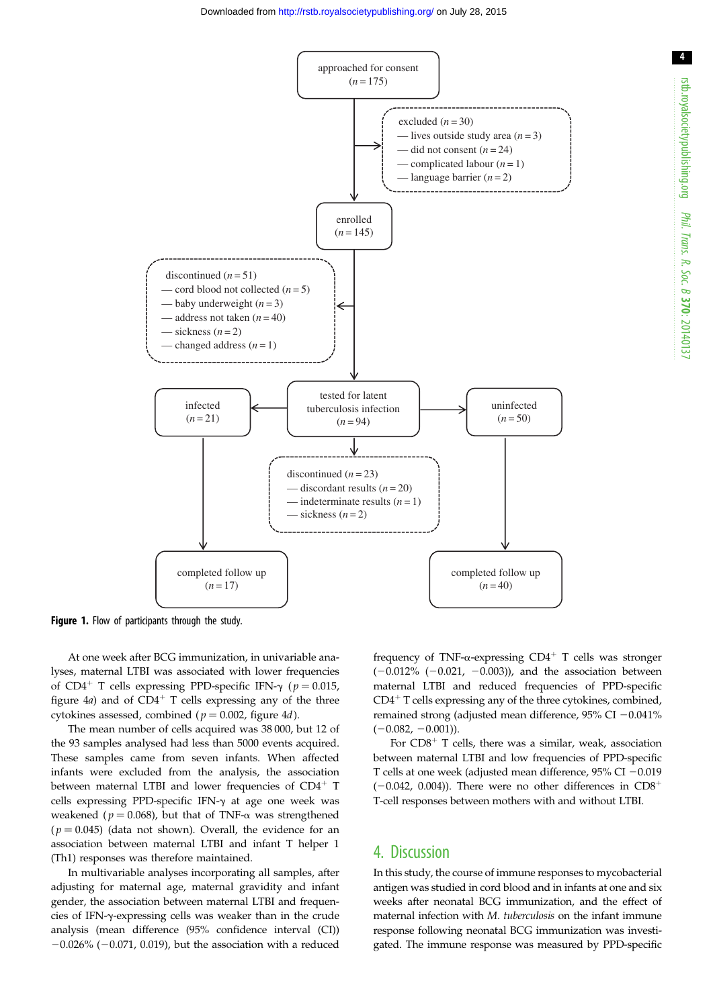<span id="page-3-0"></span>

Figure 1. Flow of participants through the study.

At one week after BCG immunization, in univariable analyses, maternal LTBI was associated with lower frequencies of CD4<sup>+</sup> T cells expressing PPD-specific IFN- $\gamma$  ( $p = 0.015$ , [figure 4](#page-6-0)a) and of  $CD4^+$  T cells expressing any of the three cytokines assessed, combined ( $p = 0.002$ , [figure 4](#page-6-0)d).

The mean number of cells acquired was 38 000, but 12 of the 93 samples analysed had less than 5000 events acquired. These samples came from seven infants. When affected infants were excluded from the analysis, the association between maternal LTBI and lower frequencies of  $CD4^+$  T cells expressing PPD-specific IFN- $\gamma$  at age one week was weakened ( $p = 0.068$ ), but that of TNF- $\alpha$  was strengthened  $(p = 0.045)$  (data not shown). Overall, the evidence for an association between maternal LTBI and infant T helper 1 (Th1) responses was therefore maintained.

In multivariable analyses incorporating all samples, after adjusting for maternal age, maternal gravidity and infant gender, the association between maternal LTBI and frequencies of IFN-g-expressing cells was weaker than in the crude analysis (mean difference (95% confidence interval (CI))  $-0.026\%$  ( $-0.071$ , 0.019), but the association with a reduced

frequency of TNF- $\alpha$ -expressing CD4<sup>+</sup> T cells was stronger  $(-0.012\%$   $(-0.021, -0.003))$ , and the association between maternal LTBI and reduced frequencies of PPD-specific  $CD4<sup>+</sup>$  T cells expressing any of the three cytokines, combined, remained strong (adjusted mean difference,  $95\%$  CI  $-0.041\%$  $(-0.082, -0.001)$ ).

For  $CD8^+$  T cells, there was a similar, weak, association between maternal LTBI and low frequencies of PPD-specific T cells at one week (adjusted mean difference,  $95\%$  CI  $-0.019$  $(-0.042, 0.004)$ ). There were no other differences in CD8<sup>+</sup> T-cell responses between mothers with and without LTBI.

## 4. Discussion

In this study, the course of immune responses to mycobacterial antigen was studied in cord blood and in infants at one and six weeks after neonatal BCG immunization, and the effect of maternal infection with M. tuberculosis on the infant immune response following neonatal BCG immunization was investigated. The immune response was measured by PPD-specific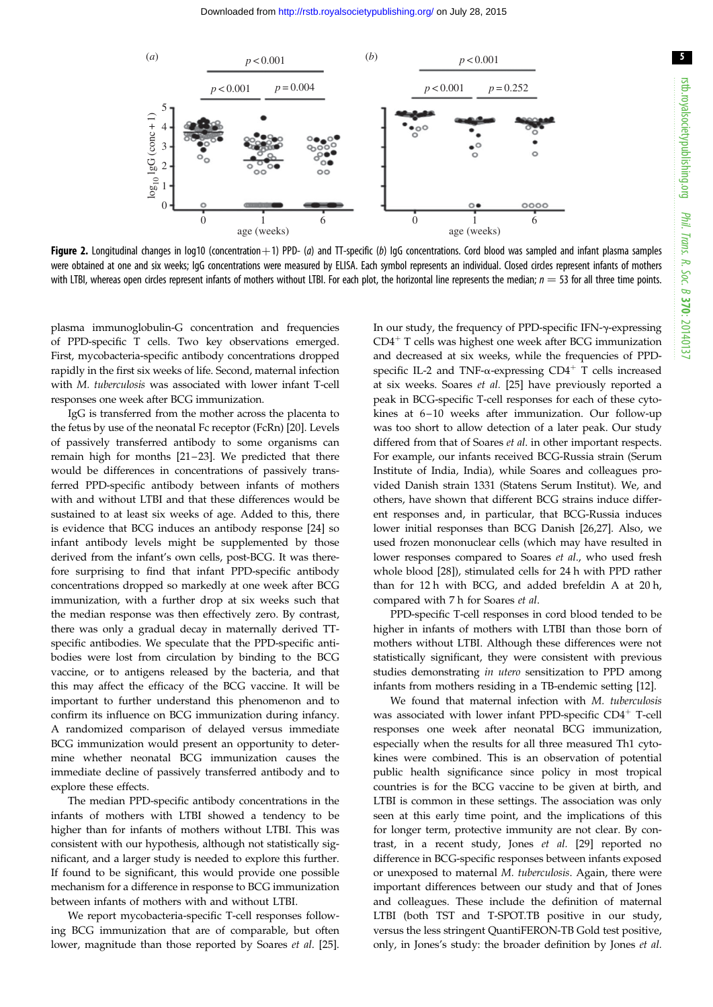5

<span id="page-4-0"></span>![](_page_4_Figure_2.jpeg)

Figure 2. Longitudinal changes in log10 (concentration +1) PPD- (a) and TT-specific (b) IgG concentrations. Cord blood was sampled and infant plasma samples were obtained at one and six weeks; IgG concentrations were measured by ELISA. Each symbol represents an individual. Closed circles represent infants of mothers with LTBI, whereas open circles represent infants of mothers without LTBI. For each plot, the horizontal line represents the median;  $n = 53$  for all three time points.

plasma immunoglobulin-G concentration and frequencies of PPD-specific T cells. Two key observations emerged. First, mycobacteria-specific antibody concentrations dropped rapidly in the first six weeks of life. Second, maternal infection with M. tuberculosis was associated with lower infant T-cell responses one week after BCG immunization.

IgG is transferred from the mother across the placenta to the fetus by use of the neonatal Fc receptor (FcRn) [\[20](#page-7-0)]. Levels of passively transferred antibody to some organisms can remain high for months [\[21](#page-7-0)–23]. We predicted that there would be differences in concentrations of passively transferred PPD-specific antibody between infants of mothers with and without LTBI and that these differences would be sustained to at least six weeks of age. Added to this, there is evidence that BCG induces an antibody response [\[24](#page-8-0)] so infant antibody levels might be supplemented by those derived from the infant's own cells, post-BCG. It was therefore surprising to find that infant PPD-specific antibody concentrations dropped so markedly at one week after BCG immunization, with a further drop at six weeks such that the median response was then effectively zero. By contrast, there was only a gradual decay in maternally derived TTspecific antibodies. We speculate that the PPD-specific antibodies were lost from circulation by binding to the BCG vaccine, or to antigens released by the bacteria, and that this may affect the efficacy of the BCG vaccine. It will be important to further understand this phenomenon and to confirm its influence on BCG immunization during infancy. A randomized comparison of delayed versus immediate BCG immunization would present an opportunity to determine whether neonatal BCG immunization causes the immediate decline of passively transferred antibody and to explore these effects.

The median PPD-specific antibody concentrations in the infants of mothers with LTBI showed a tendency to be higher than for infants of mothers without LTBI. This was consistent with our hypothesis, although not statistically significant, and a larger study is needed to explore this further. If found to be significant, this would provide one possible mechanism for a difference in response to BCG immunization between infants of mothers with and without LTBI.

We report mycobacteria-specific T-cell responses following BCG immunization that are of comparable, but often lower, magnitude than those reported by Soares et al. [\[25](#page-8-0)]. In our study, the frequency of PPD-specific IFN- $\gamma$ -expressing  $CD4<sup>+</sup>$  T cells was highest one week after BCG immunization and decreased at six weeks, while the frequencies of PPDspecific IL-2 and TNF- $\alpha$ -expressing CD4<sup>+</sup> T cells increased at six weeks. Soares et al. [\[25](#page-8-0)] have previously reported a peak in BCG-specific T-cell responses for each of these cytokines at 6–10 weeks after immunization. Our follow-up was too short to allow detection of a later peak. Our study differed from that of Soares et al. in other important respects. For example, our infants received BCG-Russia strain (Serum Institute of India, India), while Soares and colleagues provided Danish strain 1331 (Statens Serum Institut). We, and others, have shown that different BCG strains induce different responses and, in particular, that BCG-Russia induces lower initial responses than BCG Danish [\[26,27](#page-8-0)]. Also, we used frozen mononuclear cells (which may have resulted in lower responses compared to Soares et al., who used fresh whole blood [\[28](#page-8-0)]), stimulated cells for 24 h with PPD rather than for 12 h with BCG, and added brefeldin A at 20 h, compared with 7 h for Soares et al.

PPD-specific T-cell responses in cord blood tended to be higher in infants of mothers with LTBI than those born of mothers without LTBI. Although these differences were not statistically significant, they were consistent with previous studies demonstrating in utero sensitization to PPD among infants from mothers residing in a TB-endemic setting [\[12](#page-7-0)].

We found that maternal infection with M. tuberculosis was associated with lower infant PPD-specific  $CD4^+$  T-cell responses one week after neonatal BCG immunization, especially when the results for all three measured Th1 cytokines were combined. This is an observation of potential public health significance since policy in most tropical countries is for the BCG vaccine to be given at birth, and LTBI is common in these settings. The association was only seen at this early time point, and the implications of this for longer term, protective immunity are not clear. By contrast, in a recent study, Jones et al. [[29\]](#page-8-0) reported no difference in BCG-specific responses between infants exposed or unexposed to maternal M. tuberculosis. Again, there were important differences between our study and that of Jones and colleagues. These include the definition of maternal LTBI (both TST and T-SPOT.TB positive in our study, versus the less stringent QuantiFERON-TB Gold test positive, only, in Jones's study: the broader definition by Jones et al.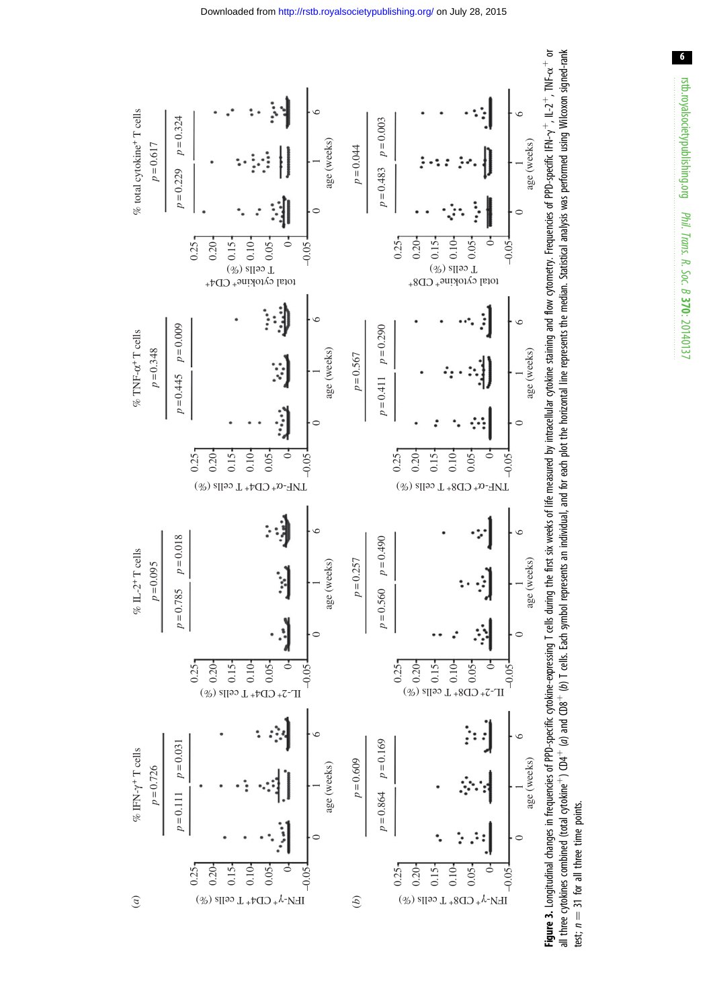<span id="page-5-0"></span>![](_page_5_Figure_0.jpeg)

![](_page_5_Figure_1.jpeg)

 $6\phantom{.0}$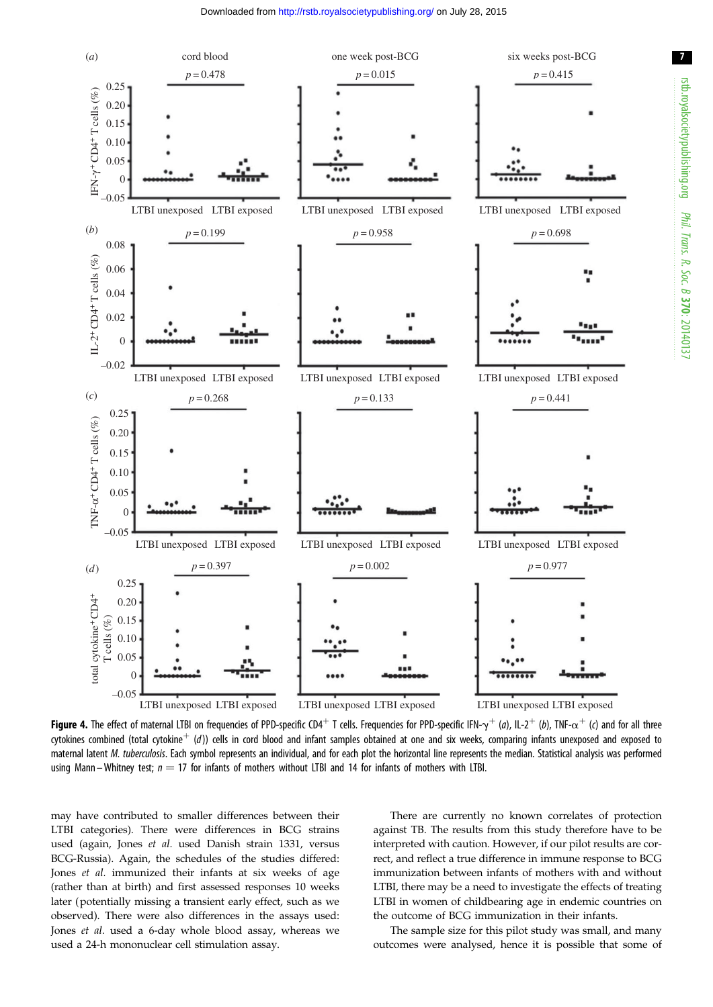Downloaded from<http://rstb.royalsocietypublishing.org/>on July 28, 2015

<span id="page-6-0"></span>![](_page_6_Figure_1.jpeg)

Figure 4. The effect of maternal LTBI on frequencies of PPD-specific CD4<sup>+</sup> T cells. Frequencies for PPD-specific IFN- $\gamma^+$  (a), IL-2<sup>+</sup> (b), TNF- $\alpha^+$  (c) and for all three cytokines combined (total cytokine<sup>+</sup> (d)) cells in cord blood and infant samples obtained at one and six weeks, comparing infants unexposed and exposed to maternal latent M. tuberculosis. Each symbol represents an individual, and for each plot the horizontal line represents the median. Statistical analysis was performed using Mann – Whitney test;  $n = 17$  for infants of mothers without LTBI and 14 for infants of mothers with LTBI.

may have contributed to smaller differences between their LTBI categories). There were differences in BCG strains used (again, Jones et al. used Danish strain 1331, versus BCG-Russia). Again, the schedules of the studies differed: Jones et al. immunized their infants at six weeks of age (rather than at birth) and first assessed responses 10 weeks later (potentially missing a transient early effect, such as we observed). There were also differences in the assays used: Jones et al. used a 6-day whole blood assay, whereas we used a 24-h mononuclear cell stimulation assay.

There are currently no known correlates of protection against TB. The results from this study therefore have to be interpreted with caution. However, if our pilot results are correct, and reflect a true difference in immune response to BCG immunization between infants of mothers with and without LTBI, there may be a need to investigate the effects of treating LTBI in women of childbearing age in endemic countries on the outcome of BCG immunization in their infants.

The sample size for this pilot study was small, and many outcomes were analysed, hence it is possible that some of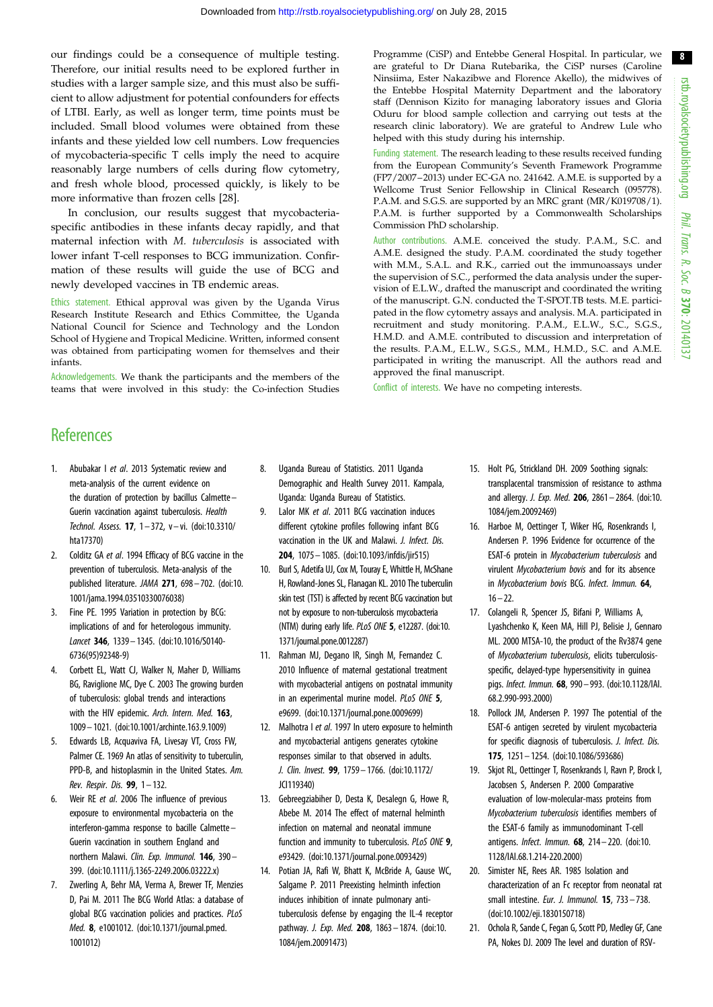8

<span id="page-7-0"></span>our findings could be a consequence of multiple testing. Therefore, our initial results need to be explored further in studies with a larger sample size, and this must also be sufficient to allow adjustment for potential confounders for effects of LTBI. Early, as well as longer term, time points must be included. Small blood volumes were obtained from these infants and these yielded low cell numbers. Low frequencies of mycobacteria-specific T cells imply the need to acquire reasonably large numbers of cells during flow cytometry, and fresh whole blood, processed quickly, is likely to be more informative than frozen cells [[28\]](#page-8-0).

In conclusion, our results suggest that mycobacteriaspecific antibodies in these infants decay rapidly, and that maternal infection with M. tuberculosis is associated with lower infant T-cell responses to BCG immunization. Confirmation of these results will guide the use of BCG and newly developed vaccines in TB endemic areas.

Ethics statement. Ethical approval was given by the Uganda Virus Research Institute Research and Ethics Committee, the Uganda National Council for Science and Technology and the London School of Hygiene and Tropical Medicine. Written, informed consent was obtained from participating women for themselves and their infants.

Acknowledgements. We thank the participants and the members of the teams that were involved in this study: the Co-infection Studies Programme (CiSP) and Entebbe General Hospital. In particular, we are grateful to Dr Diana Rutebarika, the CiSP nurses (Caroline Ninsiima, Ester Nakazibwe and Florence Akello), the midwives of the Entebbe Hospital Maternity Department and the laboratory staff (Dennison Kizito for managing laboratory issues and Gloria Oduru for blood sample collection and carrying out tests at the research clinic laboratory). We are grateful to Andrew Lule who helped with this study during his internship.

Funding statement. The research leading to these results received funding from the European Community's Seventh Framework Programme (FP7/2007–2013) under EC-GA no. 241642. A.M.E. is supported by a Wellcome Trust Senior Fellowship in Clinical Research (095778). P.A.M. and S.G.S. are supported by an MRC grant (MR/K019708/1). P.A.M. is further supported by a Commonwealth Scholarships Commission PhD scholarship.

Author contributions. A.M.E. conceived the study. P.A.M., S.C. and A.M.E. designed the study. P.A.M. coordinated the study together with M.M., S.A.L. and R.K., carried out the immunoassays under the supervision of S.C., performed the data analysis under the supervision of E.L.W., drafted the manuscript and coordinated the writing of the manuscript. G.N. conducted the T-SPOT.TB tests. M.E. participated in the flow cytometry assays and analysis. M.A. participated in recruitment and study monitoring. P.A.M., E.L.W., S.C., S.G.S., H.M.D. and A.M.E. contributed to discussion and interpretation of the results. P.A.M., E.L.W., S.G.S., M.M., H.M.D., S.C. and A.M.E. participated in writing the manuscript. All the authors read and approved the final manuscript.

Conflict of interests. We have no competing interests.

# **References**

- 1. Abubakar I et al. 2013 Systematic review and meta-analysis of the current evidence on the duration of protection by bacillus Calmette– Guerin vaccination against tuberculosis. Health Technol. Assess. 17, 1 – 372, v– vi. ([doi:10.3310/](http://dx.doi.org/10.3310/hta17370) [hta17370\)](http://dx.doi.org/10.3310/hta17370)
- 2. Colditz GA et al. 1994 Efficacy of BCG vaccine in the prevention of tuberculosis. Meta-analysis of the published literature. JAMA 271, 698– 702. ([doi:10.](http://dx.doi.org/10.1001/jama.1994.03510330076038) [1001/jama.1994.03510330076038\)](http://dx.doi.org/10.1001/jama.1994.03510330076038)
- 3. Fine PE. 1995 Variation in protection by BCG: implications of and for heterologous immunity. Lancet 346, 1339– 1345. ([doi:10.1016/S0140-](http://dx.doi.org/10.1016/S0140-6736(95)92348-9) [6736\(95\)92348-9\)](http://dx.doi.org/10.1016/S0140-6736(95)92348-9)
- 4. Corbett EL, Watt CJ, Walker N, Maher D, Williams BG, Raviglione MC, Dye C. 2003 The growing burden of tuberculosis: global trends and interactions with the HIV epidemic. Arch. Intern. Med. 163, 1009 – 1021. [\(doi:10.1001/archinte.163.9.1009\)](http://dx.doi.org/10.1001/archinte.163.9.1009)
- Edwards LB, Acquaviva FA, Livesay VT, Cross FW, Palmer CE. 1969 An atlas of sensitivity to tuberculin, PPD-B, and histoplasmin in the United States. Am. Rev. Respir. Dis. 99, 1– 132.
- 6. Weir RE et al. 2006 The influence of previous exposure to environmental mycobacteria on the interferon-gamma response to bacille Calmette – Guerin vaccination in southern England and northern Malawi. Clin. Exp. Immunol. **146**, 390-399. [\(doi:10.1111/j.1365-2249.2006.03222.x\)](http://dx.doi.org/10.1111/j.1365-2249.2006.03222.x)
- 7. Zwerling A, Behr MA, Verma A, Brewer TF, Menzies D, Pai M. 2011 The BCG World Atlas: a database of global BCG vaccination policies and practices. PLoS Med. 8, e1001012. ([doi:10.1371/journal.pmed.](http://dx.doi.org/10.1371/journal.pmed.1001012) [1001012\)](http://dx.doi.org/10.1371/journal.pmed.1001012)
- 8. Uganda Bureau of Statistics. 2011 Uganda Demographic and Health Survey 2011. Kampala, Uganda: Uganda Bureau of Statistics.
- 9. Lalor MK et al. 2011 BCG vaccination induces different cytokine profiles following infant BCG vaccination in the UK and Malawi. J. Infect. Dis. 204, 1075 – 1085. [\(doi:10.1093/infdis/jir515](http://dx.doi.org/10.1093/infdis/jir515))
- 10. Burl S, Adetifa UJ, Cox M, Touray E, Whittle H, McShane H, Rowland-Jones SL, Flanagan KL. 2010 The tuberculin skin test (TST) is affected by recent BCG vaccination but not by exposure to non-tuberculosis mycobacteria (NTM) during early life. PLoS ONE 5, e12287. [\(doi:10.](http://dx.doi.org/10.1371/journal.pone.0012287) [1371/journal.pone.0012287](http://dx.doi.org/10.1371/journal.pone.0012287))
- 11. Rahman MJ, Degano IR, Singh M, Fernandez C. 2010 Influence of maternal gestational treatment with mycobacterial antigens on postnatal immunity in an experimental murine model. PLoS ONE 5, e9699. ([doi:10.1371/journal.pone.0009699\)](http://dx.doi.org/10.1371/journal.pone.0009699)
- 12. Malhotra I et al. 1997 In utero exposure to helminth and mycobacterial antigens generates cytokine responses similar to that observed in adults. J. Clin. Invest. 99, 1759– 1766. ([doi:10.1172/](http://dx.doi.org/10.1172/JCI119340) [JCI119340\)](http://dx.doi.org/10.1172/JCI119340)
- 13. Gebreegziabiher D, Desta K, Desalegn G, Howe R, Abebe M. 2014 The effect of maternal helminth infection on maternal and neonatal immune function and immunity to tuberculosis. PLoS ONE 9, e93429. ([doi:10.1371/journal.pone.0093429](http://dx.doi.org/10.1371/journal.pone.0093429))
- 14. Potian JA, Rafi W, Bhatt K, McBride A, Gause WC, Salgame P. 2011 Preexisting helminth infection induces inhibition of innate pulmonary antituberculosis defense by engaging the IL-4 receptor pathway. J. Exp. Med. 208, 1863 - 1874. [\(doi:10.](http://dx.doi.org/10.1084/jem.20091473) [1084/jem.20091473\)](http://dx.doi.org/10.1084/jem.20091473)
- 15. Holt PG, Strickland DH. 2009 Soothing signals: transplacental transmission of resistance to asthma and allergy. J. Exp. Med. 206, 2861 – 2864. [\(doi:10.](http://dx.doi.org/10.1084/jem.20092469) [1084/jem.20092469\)](http://dx.doi.org/10.1084/jem.20092469)
- 16. Harboe M, Oettinger T, Wiker HG, Rosenkrands I, Andersen P. 1996 Evidence for occurrence of the ESAT-6 protein in Mycobacterium tuberculosis and virulent Mycobacterium bovis and for its absence in Mycobacterium bovis BCG. Infect. Immun. 64,  $16 - 22.$
- 17. Colangeli R, Spencer JS, Bifani P, Williams A, Lyashchenko K, Keen MA, Hill PJ, Belisie J, Gennaro ML. 2000 MTSA-10, the product of the Rv3874 gene of Mycobacterium tuberculosis, elicits tuberculosisspecific, delayed-type hypersensitivity in guinea pigs. Infect. Immun. 68, 990– 993. [\(doi:10.1128/IAI.](http://dx.doi.org/10.1128/IAI.68.2.990-993.2000) [68.2.990-993.2000](http://dx.doi.org/10.1128/IAI.68.2.990-993.2000))
- 18. Pollock JM, Andersen P. 1997 The potential of the ESAT-6 antigen secreted by virulent mycobacteria for specific diagnosis of tuberculosis. J. Infect. Dis. 175, 1251– 1254. ([doi:10.1086/593686\)](http://dx.doi.org/10.1086/593686)
- 19. Skjot RL, Oettinger T, Rosenkrands I, Ravn P, Brock I, Jacobsen S, Andersen P. 2000 Comparative evaluation of low-molecular-mass proteins from Mycobacterium tuberculosis identifies members of the ESAT-6 family as immunodominant T-cell antigens. Infect. Immun. 68, 214– 220. ([doi:10.](http://dx.doi.org/10.1128/IAI.68.1.214-220.2000) [1128/IAI.68.1.214-220.2000](http://dx.doi.org/10.1128/IAI.68.1.214-220.2000))
- 20. Simister NE, Rees AR. 1985 Isolation and characterization of an Fc receptor from neonatal rat small intestine. Eur. J. Immunol. **15**, 733-738. ([doi:10.1002/eji.1830150718](http://dx.doi.org/10.1002/eji.1830150718))
- 21. Ochola R, Sande C, Fegan G, Scott PD, Medley GF, Cane PA, Nokes DJ. 2009 The level and duration of RSV-